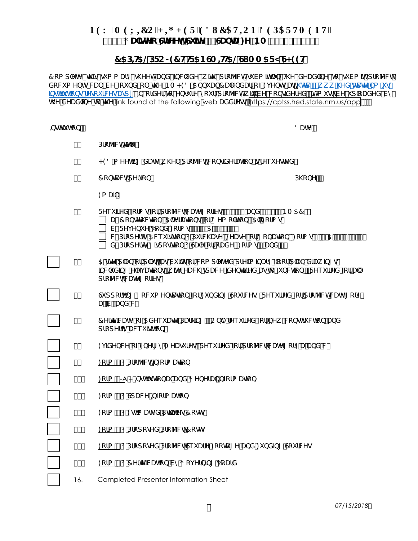# PGY 'OGZÆQ'J K J GT'GFWECVKQP'FGRCTVOGPV" &\$((; U]dYc GfYYh\*G ]|Y (žGUbHU:YžBA, +) \$)!&%\$\$

#### 75D + 5@DFC > 97 HHF 5BGA + H5@GIAA5FMG < 99H

7 ca d`YhY h\]g`gi a a Ufm g\YYh UbX ]bWi XY k ]h\ dfc YWh gi Va ]hU" H\Y XYUX`]bY hc gi Va ]h dfc YWh XcW a Ybrg WUb VY Zci bX cb hY BA < 98 5bbi U 7 U YbXUf cZ 9j Ybrg Uh \rrd .## k k "\YX"gUhY"ba "i g# bohihi hicbor#YocifWygulgdl" =bicfXYfhc YbgifY mcifdfc YWhik j VY Wcbo jXYfYXžjha i ghVY i dcUXYX Vm INY XYUX by It In Y link found at the following web UXXfYqq https://cptss.hed.state.nm.us/app

| ∌gh]hi h]cb.             | 8UHY.                                                                                                                                                                                                                                                                                               |
|--------------------------|-----------------------------------------------------------------------------------------------------------------------------------------------------------------------------------------------------------------------------------------------------------------------------------------------------|
| $\%$                     | Dfc Y WhihjhY.                                                                                                                                                                                                                                                                                      |
| $\&''$                   | <98 a YYh]b[ XUhYk \Ybdfc YWh Wcbg]XYfUh]cb]gfYeiYghYX.                                                                                                                                                                                                                                             |
| $\mathbf{I}=\mathbf{II}$ | 7 c bHJ Whd Y fgc b.<br>$D \setminus C \bigup{bV}$ .                                                                                                                                                                                                                                                |
|                          | 9a U].                                                                                                                                                                                                                                                                                              |
| $($ "                    | FYei JfYX Zcfa gZcfdfc YWhWUHY [cf]Ygf] " "%S UbX &"+\$" (BA 57 Ł<br>UŁ7 cbghi Whicbž5 `h' fUhicbg cf8Ya c`lhicb f5 ``: cfa gł<br>VŁFYj Ybi Y 6cbX : cfa gf%ž%5ž(ž)ž*Ł<br>WEDfcdYffm5Wei]glhcb l DifWN UgY zo YUgY zcf8cbUhlcbflcfag%z%95z" z(ž) z*E<br>XŁDfcdYfm8]gdcglhcb dGUYcfHUXYflcfag%UbX *L |
| $)$ "                    | 5 ghY d`Ub cfd`UhžUgVi ]`hgcfWcad`YhYXdfY`]a ]bUfmZccfd`Ub XfUk ]b[ož<br>]bWiX]b[YYjUh]cbožk]h\YUW\ogdUWY`]XYbh]Z]YXUghcZibWh]cb"fFYei]fYXZcfU``<br>dfc YWhWUhY [cf]YgŁ                                                                                                                             |
| $\star$ $\mathsf{u}$     | Giddcfh]b[8cWiaYbhUh]cb2cf:ibX]b[GcifWYgfFYei]fYX2cfdfcYWhWUhY[cfm<br>UžVžUbX WŁ                                                                                                                                                                                                                    |
| $+$ "                    | 7Yfh]ZMUHY cZ5XYeiUHY DUf_]b["fCb`mfYei]fYX ZcfbYk Wcbghfi Wh]cb UbX<br>d fc d Y fhmUWe i ]g]h]c b Ł                                                                                                                                                                                                |
| $\mathbf{u}$             | 9 XYbWY cZ9bYf[mAYUgifYgfFYei]fYX Zcfdfc YWhWJhY[cfmUUbX WL                                                                                                                                                                                                                                         |
| - "                      | <u>: cfa %</u> i Dfc Y Whi ∌ Zcfa Uh c b                                                                                                                                                                                                                                                            |
| %"                       | : cfa %A - to gh]hi h]cbU`UbX; YbYfU`to Zcfa Uh]cb                                                                                                                                                                                                                                                  |
| %%                       | <u>:cfa &amp;</u> GdUWY $\oplus$ Zcfa Uh cb                                                                                                                                                                                                                                                         |
| %&"                      |                                                                                                                                                                                                                                                                                                     |
| % "                      | cfa (IDfcdcgYXDfcYWh7cghg                                                                                                                                                                                                                                                                           |
| %( "                     | : cfa ) lDfcdcgYXDfcYWhGeiUfY: ccHU[YUbX: ibX]b[GcifWYg                                                                                                                                                                                                                                             |
| %"                       | : cfa * 1 7 YfhZMUhcb Vm; cj Yfb]b[ 6cUfX                                                                                                                                                                                                                                                           |
| 16.                      | Completed Presenter Information Sheet                                                                                                                                                                                                                                                               |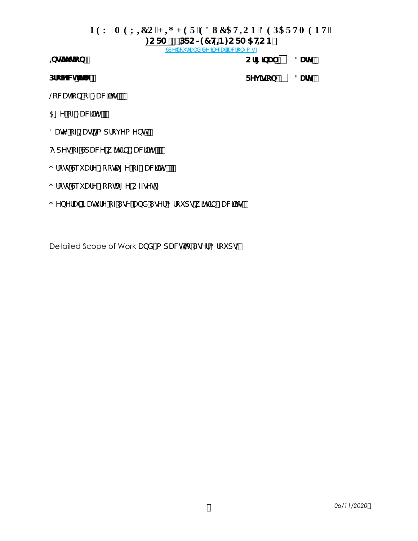### **PGY 'OGZIEQ'J H J GT'GFWECVIQP'FGRCTVOGPV"**

#### **<u>CFA %</u> DFC > 97 H B: CFA 5 HCB**

**GdY** ci hUbX XYZbY U UWC bma q

**bodjhi** hcb.

Cf**[** ]bU`.  $\Box$  8UHY.

Dfc YWHHY.

**FYj lgcb.**  $\Box$  **8UHY.** 

@WhcbcZ:UW]m

5 [ Y c Z: UW]m

8UhY cZ@Ugha dfcj Ya Ybh"

 $H \cap Y$  g c Z Gd U WY k  $\parallel h \parallel$ b : U W  $\parallel m$  ...

- : fcggGeiUfY:cchU[YcZ:UW]]mm
- : fcggGeiUfY:ccHU[YCZZgYh

: YbYfU`BUH fY cZl gY UbX I gYf; fci dgk ]h\]b : UW]]m

Detailed Scope of Work UbX a dUWhic I gYf; fci dg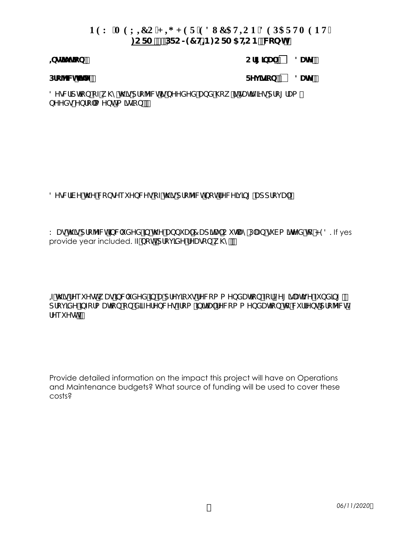# **PGY 'OGZKO'J H J GT'GFWECVKOP'FGRCTVOGPV" <u>CFA %</u> DFC > 97 H B: CFA 5 HCB fW cbMich {</u>**

**, and the set of the set of the set of the set of the set of the set of the set of the set of the set of the set of the set of the set of the set of the set of the set of the set of the set of the set of the set of the s** 

**Drc ^/ Whithey** New York New York New York New York New York New York New York New York New York New York New York New York New York New York New York New York New York New York New York New York New York New York New Yo

8YgMfdhcbcZk\mh\]gdfcYVMlgbYYXYXUbX\ck ]hgUhgZJYgdfc[fUa bYYXg#Ybfc a Ybh#a ]qq]cb.

8YgMfVYhYVCbgYeiYbWYgcZh\gdfcYWhbchfYWY]]b[UddfcjU`

K: Ugh\  $gdfc$  YWh] $b$ Wi XYX Jb h\Y Ubbi U`7 Ud  $b$ U`C i hUmDUb gi Va  $b$ hYX hc <98. If yes provide year included. IZbchdfcj KY fYUqcbk\m

 $\mathcal I$ h gi $\mathcal V$ ei Yohk UqibWi XYX ib UdfYj ci gifYW ca a YbXUhicb Zcf@Y [ ]qUhij Y Zi bX ]b [  $\check z$ dfcj XY bZcfa Uhcb cb X ZZY fYbWY gZfca bhlU fY Wca a YbX Uhcb hc W ffY bhdfc Y Wh fYei Yoh<sup>"</sup>

Provide detailed information on the impact this project will have on Operations and Maintenance budgets? What source of funding will be used to cover these costs?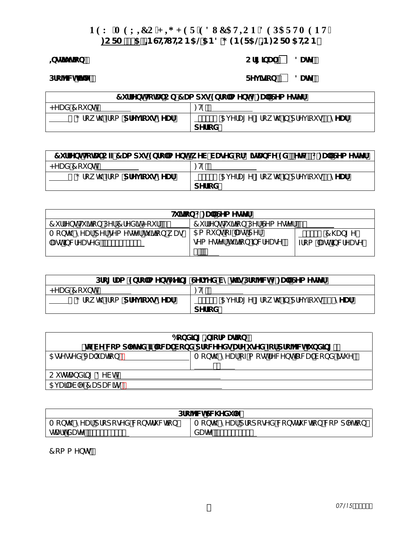# PGY 'O GZIEQ'J H J GT'GFWECVIQP'FGRCTVOGPV"

# : CFA %5. BGHH HCB5@5B8; 9B9F5@B: CFA 5HCB

## bgih hcb.

Cf[[]bU`. down.

Dfc YWHHY.

FYj ]g]cb. 3UHY.

| 7i ffYbhl-chU`C b! 7 Ua di g9bfc ``a Ybhi : U``GYa YgYf`                            |                                            |  |  |  |
|-------------------------------------------------------------------------------------|--------------------------------------------|--|--|--|
| <yux7cibh< th=""><th><math>\therefore</math> H<math>\theta</math>.</th></yux7cibh<> | $\therefore$ H $\theta$ .                  |  |  |  |
| _ı ; fck h\2fca <b>dfYj]cigmYUf</b>                                                 | 5   YfU[Y   fck h\]bdfYj]cig <b>)!mYUf</b> |  |  |  |
| dYfcX                                                                               |                                            |  |  |  |

| 7i ffYbhi c 27 Ua di g 9bfc ``a Ybhfk YV! VUgYX cf 8]g UbW `9X' EYHWL I : U ``GYa Yg Yf |                                            |  |  |  |
|-----------------------------------------------------------------------------------------|--------------------------------------------|--|--|--|
| <yux 7="" bhi<="" ci="" th=""><th><math>\therefore</math> HQ.</th></yux>                | $\therefore$ HQ.                           |  |  |  |
| ___i; fck h\ 2fca <b>dfYj]cigmYUf</b>                                                   | i 5   YfU[Y [fckh\]bdfYj]cig <b>)!mYUf</b> |  |  |  |
|                                                                                         | dYficX                                     |  |  |  |

| H]hcb i: U`GYa YghYf                                                         |                                                                                |                                   |  |  |
|------------------------------------------------------------------------------|--------------------------------------------------------------------------------|-----------------------------------|--|--|
| 7 iffYbhH ]hcbDYfGYaYdnYf. "_<br>7iffYbhH]h]cbDYf7fYX]h <cif. <u="">[</cif.> |                                                                                |                                   |  |  |
| A cbh\#mYUfdYfgYa YghYfhi]h]cbkUg<br>$U$ gh]bWfYUgYX. $\frac{H}{2}$          | 5a ci bhcZ`UghdYf<br>gYa YghYfhi]h]cb`]bWfYUgY.<br>$\sim$ $\sim$ $\sim$ $\sim$ | ∵∵i 7∖Ub[Y<br>  Zfca ∵Ugh]bWfYUgY |  |  |

| Dfc[fUa '9bfc``a Ybh6Y]b[ 'GYfj YX'Vmh\]gDfc YVWil : U``GYa YglYf' |                                       |  |  |  |
|--------------------------------------------------------------------|---------------------------------------|--|--|--|
| <yux 7="" bh<="" ci="" th=""><th>: H9.</th></yux>                  | : H9.                                 |  |  |  |
| i ; fck h∖ zfca <b>dfYj]cigmYUf</b>                                | ___i 5jYfU[Y[fckh\]bdfYj]ciq%A\$!mYUf |  |  |  |
|                                                                    | dYficX                                |  |  |  |

| 6cbX]b[ =bZcfa Uhcb                                                |  |  |  |  |  |
|--------------------------------------------------------------------|--|--|--|--|--|
| fro VY Wca d'YHYX TCWU VcbX dfcWYYXgUfY i gYX Zcf dfc YWiZ bX]b[ Ł |  |  |  |  |  |
| Acbh\#mYUfcZacghfYWYbh`cWU`VcbX]cpiY.<br>5 agY agY X J U i Uh c b. |  |  |  |  |  |
| CihdUbXb[8YVh                                                      |  |  |  |  |  |
| 5i UTUV Y 7 UdUWm                                                  |  |  |  |  |  |

| Dfc YWGWYXi 'Y'                    |                                          |  |  |  |
|------------------------------------|------------------------------------------|--|--|--|
| Acbh\#mYUfdfcdcgYXWcbghfiWh]cb     | Acbh\#mYUfdfcdcgYXWcbghfiWh]cbWcadƳh]cb` |  |  |  |
| $\mathsf{q}$ UfhXUhY. $\mathsf{m}$ | XUHY. #                                  |  |  |  |

7 ca a Ybhg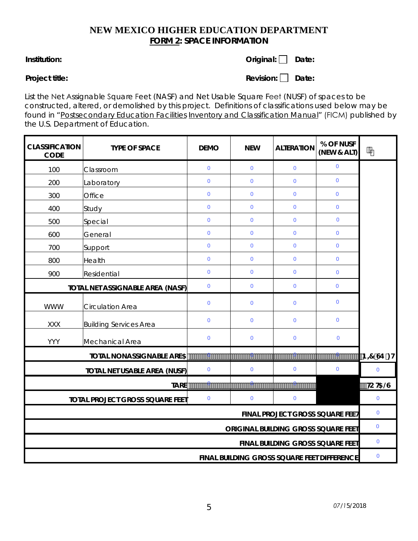# **NEW MEXICO HIGHER EDUCATION DEPARTMENT FORM 2: SPACE INFORMATION**

### **Institution:** Date: **Original:** Date:

**Project title:** Date: **Revision:** Date:

List the Net Assignable Square Feet (NASF) and Net Usable Square Feet (NUSF) of spaces to be constructed, altered, or demolished by this project. Definitions of classifications used below may be found in "Postsecondary Education Facilities Inventory and Classification Manual" (FICM) published by the U.S. Department of Education.

| <b>CLASSIFICATION</b><br><b>CODE</b> | <b>TYPE OF SPACE</b>                   | <b>DEMO</b>         | <b>NEW</b>     | <b>ALTERATION</b>                           | % OF NUSF<br>(NEW & ALT) | $\psi_{\downarrow}$ |
|--------------------------------------|----------------------------------------|---------------------|----------------|---------------------------------------------|--------------------------|---------------------|
| 100                                  | Classroom                              | $\overline{0}$      | $\mathbf{0}$   | $\mathbf 0$                                 | $\mathbf{0}$             |                     |
| 200                                  | Laboratory                             | $\mathbf 0$         | $\mathbf 0$    | $\pmb{0}$                                   | $\mathbf{0}$             |                     |
| 300                                  | Office                                 | $\overline{0}$      | $\overline{0}$ | $\mathbf 0$                                 | $\mathbf{0}$             |                     |
| 400                                  | Study                                  | $\mathbf 0$         | $\mathbf 0$    | $\mathbf 0$                                 | $\mathbf 0$              |                     |
| 500                                  | Special                                | $\overline{0}$      | $\overline{0}$ | $\mathbf 0$                                 | $\mathbf{0}$             |                     |
| 600                                  | General                                | $\mathbf 0$         | $\mathbf 0$    | $\pmb{0}$                                   | $\mathbf 0$              |                     |
| 700                                  | Support                                | $\overline{0}$      | $\mathbf{0}$   | $\mathbf 0$                                 | $\mathbf{0}$             |                     |
| 800                                  | Health                                 | $\pmb{0}$           | $\pmb{0}$      | $\mathbf 0$                                 | $\mathbf 0$              |                     |
| 900                                  | Residential                            | $\overline{0}$      | $\mathbf{0}$   | $\mathbf 0$                                 | $\mathbf{0}$             |                     |
|                                      | TOTAL NET ASSIGNABLE AREA (NASF)       | $\mathbf 0$         | $\mathbf{0}$   | $\mathbf 0$                                 | $\mathbf 0$              |                     |
| <b>WWW</b>                           | <b>Circulation Area</b>                | $\overline{0}$      | $\overline{0}$ | $\mathbf 0$                                 | $\mathbf 0$              |                     |
| <b>XXX</b>                           | <b>Building Services Area</b>          | $\mathbf{0}$        | $\overline{0}$ | $\mathbf 0$                                 | $\mathbf 0$              |                     |
| <b>YYY</b>                           | Mechanical Area                        | $\mathbf 0$         | $\mathbf 0$    | $\mathbf 0$                                 | $\mathbf 0$              |                     |
|                                      | <b>TOTAL NONASSIGNABLE ARE5</b>        | $\cdots$ 0 $\cdots$ |                |                                             | . <u>0</u>               | B <i>=</i> 7 Œ ∶H   |
| TOTAL NET USABLE AREA (NUSF)         |                                        | $\mathbf 0$         | $\Omega$       | $\mathbf{0}$                                | $\mathbf 0$              | $\mathbf{0}$        |
| <b>TARE</b>                          |                                        |                     |                |                                             |                          | <b>ЮНБС</b>         |
|                                      | <b>TOTAL PROJECT GROSS SQUARE FEET</b> | $\mathbf 0$         | $\mathbf 0$    | $\mathbf 0$                                 |                          | $\mathbf 0$         |
| FINAL PROJECT GROSS SQUARE FEEH      |                                        |                     |                |                                             | $\mathbf 0$              |                     |
| ORIGINAL BUILDING GROSS SQUARE FEET  |                                        |                     |                |                                             | $\pmb{0}$                |                     |
|                                      | FINAL BUILDING GROSS SQUARE FEET       |                     |                |                                             |                          | $\mathbf 0$         |
|                                      |                                        |                     |                | FINAL BUILDING GROSS SQUARE FEET DIFFERENCE |                          | $\pmb{0}$           |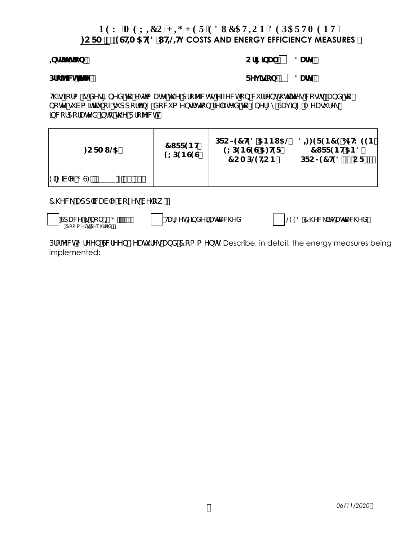## **PGY 'OGZIEQ'J H J GT'GFWECVIOP'FGRCTVOGPV'' )250(67,0\$7('87,/,7Y COSTS AND ENERGY EFFICIENCY MEASURES**

#### $\downarrow$ **QVI) 2UIV 2ULIVE 2UIVE 2ULVE 2ULVE 2ULVE 2ULVE 2ULVE 2ULVE 2ULVE 2ULVE 2ULVE 2ULVE 2ULVE 2ULVE 2ULVE 2ULVE**

#### **Drc ^/ Whithey** New York New York New York New York New York New York New York New York New York New York New York New York New York New York New York New York New York New York New York New York New York New York New Yo

H gZ fa gxYg [bYX hc Ygha UhY h Y d fc YWh y ZYWhicb W ffYbhi h] hy g W ghoz UbX hc bchYg Va htU cZg ddcfhb[ XcW a YbHJhcb fY UhYX hc 9bYf[ mGUj b[ A YUq fYq LOW FOLC FULLY TO TO THE THAT THE TO THE THAT THE TO THE THAT THE TO THE THAT THE THAT THE THAT THE THAT THE T

| $:$ CFA I $\circledast$                                                                  | 71 FF9BH<br><b>9LD9BG9G</b> | $9L$ D9B G9G 5: $H$ 9F<br>7 C A DO <del>GHC</del> B | DFC > 97 HP8 5 BBI 5 @ $18 \div 9987969$ K 99B<br>71 FF9BH5B8<br>$DFC > 97$ H98 f $\check{Z}$ CF ! E |
|------------------------------------------------------------------------------------------|-----------------------------|-----------------------------------------------------|------------------------------------------------------------------------------------------------------|
| $9$ $N$ $Y$ $\cdot$ $G$ $($ $)$ $($ $)'$ $($ $)'$ $($ $')$ $($ $')$ $($ $')$ $($ $)$ $($ |                             |                                                     |                                                                                                      |

7\YW\_Udd`MUV`YVclYgVY`ck.

extra Physician Principles Control Principles Control Principles Control Principles Control Principles Control Principles Control Principles Control Principles Control Principles Control Principles Control Principles Contr

6SDFHLVQRQ, \* 7DUJHW)LQGHUDWWDFKHG /(('&KHFNOLVWDWWDFKHG

Dfc YWh; fYYb GWYYb: YUH fYgUbX 7 ca a Yblg Describe, in detail, the energy measures being implemented: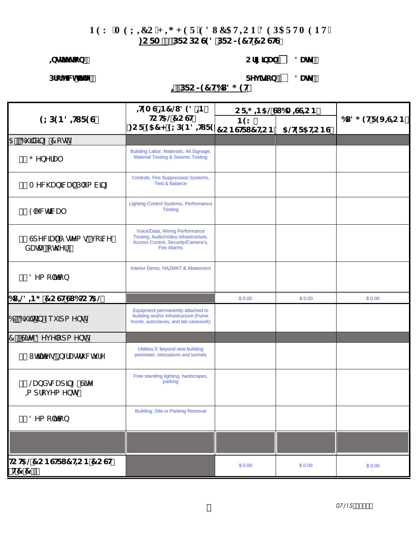# PGY 'O GZIEQ'J I J GT'GFWECVIQP'FGRCTVO GPV" : CFA ( DFCDCG98 DFC>97 H7 CGHG

### both Hcb.

# Cf[[]bU`. down.

Dfc YWHHY.

# FYj ]g]cb. 3UHY.

# $\equiv$  DFC > 97 H6l 8; 9H

|                                                | $+9A G + 37 Q 898 H$                                                                                                               | $CF \neq$ $B5@G$ 6A $EGEB$ |             |                      |  |
|------------------------------------------------|------------------------------------------------------------------------------------------------------------------------------------|----------------------------|-------------|----------------------|--|
| 9LD9B8#F9G                                     | Ю:НБ@7СGH<br>:CF957<9LD9B8+IF9 7CBG+FI7 <u>HCB</u>                                                                                 | B <sub>9</sub> K           |             | 61 8; $9HF9J - 6G/B$ |  |
|                                                |                                                                                                                                    |                            | 5@ OF 5HCBG |                      |  |
| 5" 6i ]X]b[ 7 cgh                              | Building Labor, Materials, All Signage,                                                                                            |                            |             |                      |  |
| %"; YbYfU`                                     | <b>Material Testing &amp; Seismic Testing</b>                                                                                      |                            |             |                      |  |
| &" A YWN Ub MU`#D`i a V]b[                     | <b>Controls, Fire Suppression Systems,</b><br><b>Test &amp; Balance</b>                                                            |                            |             |                      |  |
| ' " 9'Y Wrf WU'                                | <b>Lighting Control Systems, Performance</b><br><b>Testing</b>                                                                     |                            |             |                      |  |
| (" GdYWJU`GmghYagfJcJWYž<br><b>XUHJŽCH\YfŁ</b> | Voice/Data, Wiring Performance<br>Testing, Audio/Video infrastructure,<br>Access Control, Security/Camera's,<br><b>Fire Alarms</b> |                            |             |                      |  |
| ) " 8Ya c`hcb                                  | Interior Demo, HAZMAT & Abatement                                                                                                  |                            |             |                      |  |
| $d = 48 - 5$ ; 7 C G HG $d + C + 5$            |                                                                                                                                    | \$0.00                     | \$0.00      | \$0.00               |  |
| 6" 6i ] h ] b 9e i ] d a Ybh                   | Equipment permanently attached to<br>building and/or infrastructure (Fume<br>hoods, autoclaves, and lab casework)                  |                            |             |                      |  |
| "GhY 8Yj Y`cda Ybh                             |                                                                                                                                    |                            |             |                      |  |
| %" I hj`]h]Yoyĭ ‡o zTUghfi WhifY               | Utilities 5' beyond new building<br>perimeter, relocations and tunnels                                                             |                            |             |                      |  |
| &" @UbXgMUd]b[#G]hY<br>a dfcj Ya Ybhoj         | Free standing lighting, hardscapes,<br>parking                                                                                     |                            |             |                      |  |
| '" 8Ya c`hcb                                   | <b>Building, Site or Parking Removal</b>                                                                                           |                            |             |                      |  |
|                                                |                                                                                                                                    |                            |             |                      |  |
| <b>ІНСНБ@7СВСІҒІ 7НСВ7ССН</b><br>fH7 "7 "Ł     |                                                                                                                                    | \$0.00                     | \$0.00      | \$0.00               |  |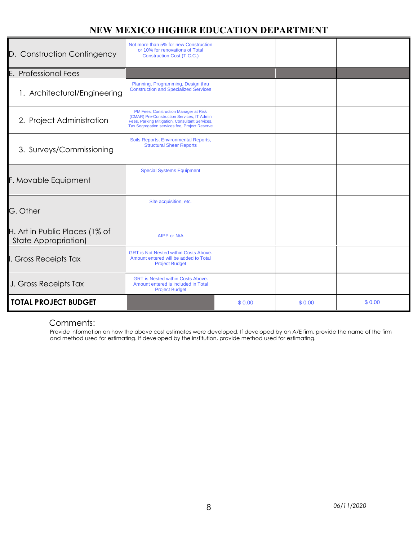# **NEW MEXICO HIGHER EDUCATION DEPARTMENT**

| D. Construction Contingency                            | Not more than 5% for new Construction<br>or 10% for renovations of Total<br>Construction Cost (T.C.C.)                                                                                 |        |        |        |
|--------------------------------------------------------|----------------------------------------------------------------------------------------------------------------------------------------------------------------------------------------|--------|--------|--------|
| E.<br><b>Professional Fees</b>                         |                                                                                                                                                                                        |        |        |        |
| 1. Architectural/Engineering                           | Planning, Programming, Design thru<br><b>Construction and Specialized Services</b>                                                                                                     |        |        |        |
| 2. Project Administration                              | PM Fees, Construction Manager at Risk<br>(CMAR) Pre-Construction Services, IT Admin<br>Fees, Parking Mitigation, Consultant Services,<br>Tax Segregation services fee, Project Reserve |        |        |        |
| 3. Surveys/Commissioning                               | Soils Reports, Environmental Reports,<br><b>Structural Shear Reports</b>                                                                                                               |        |        |        |
| F. Movable Equipment                                   | <b>Special Systems Equipment</b>                                                                                                                                                       |        |        |        |
| G. Other                                               | Site acquisition, etc.                                                                                                                                                                 |        |        |        |
| H. Art in Public Places (1% of<br>State Appropriation) | AIPP or N/A                                                                                                                                                                            |        |        |        |
| I. Gross Receipts Tax                                  | <b>GRT is Not Nested within Costs Above.</b><br>Amount entered will be added to Total<br><b>Project Budget</b>                                                                         |        |        |        |
| J. Gross Receipts Tax                                  | <b>GRT</b> is Nested within Costs Above.<br>Amount entered is included in Total<br><b>Project Budget</b>                                                                               |        |        |        |
| <b>TOTAL PROJECT BUDGET</b>                            |                                                                                                                                                                                        | \$0.00 | \$0.00 | \$0.00 |

## Comments:

Provide information on how the above cost estimates were developed. If developed by an A/E firm, provide the name of the firm and method used for estimating. If developed by the institution, provide method used for estimating.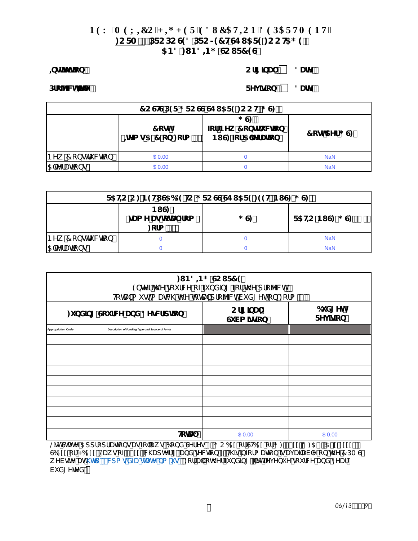### PGY 'OGZÆQ'J K J GT'GFWECVKQP'FGRCTVOGPV" : CFA). DFCDCG98 DFC>97 HGE I 5F9: CCH5; 9 5B8:1B8+B; CCIF79G

#### **bodjhi hjcb.**

### Cf[[]bU`. | 8UHY.

Dfc YWHHY.

# FYj ]g]cb. 3UHY.

| 7 CGHGDOF; FCGGGEI 5F9: CCHfIGE |                                                  |                                  |                |  |  |  |
|---------------------------------|--------------------------------------------------|----------------------------------|----------------|--|--|--|
|                                 | 7 cghi<br> f\Yag5!7 cb:cfa (Ł  BIG Zcf5 YrfUh]cb | ∵G<br><b>ZefBYk 7 cbgfi Wjcb</b> | $7$ cond Yf; G |  |  |  |
| BYK 7 c bot fi Whc b            | \$0.00                                           |                                  | <b>NaN</b>     |  |  |  |
| 5 'h' fUhc ba                   | \$0.00                                           |                                  | <b>NaN</b>     |  |  |  |

| F5HC C: B9HIG56@PHC; FCGGGEI5F9:99HfBIG#, GE |                                                |     |                    |  |
|----------------------------------------------|------------------------------------------------|-----|--------------------|--|
|                                              | BI G<br>fgUa Y UghchU <i>T</i> ica<br>: cfa 8Ł | ; G | F5HC BIG# G fl $E$ |  |
| BYK 7 c bot fi Whc b                         |                                                |     | <b>NaN</b>         |  |
| 5 'h' fUhc bg                                |                                                |     | <b>NaN</b>         |  |

| : $IB8-B$ ; CCIF79<br>9bhYfh\YgcifWYcZZlbX]b[Zcfh\YdfcYWh"<br>HchU'a i gha UHAA H Y 'hchU'd fc Y VhVi X [ Yhcb : cfa (" |                                                 |                                         |                            |  |  |
|-------------------------------------------------------------------------------------------------------------------------|-------------------------------------------------|-----------------------------------------|----------------------------|--|--|
| : i bX]b[ Gci fWY UbX 8YgWf]dh]cb                                                                                       |                                                 | $Cf$ [ $J$ bU $\degree$<br>Gi Va ]gg]cb | 6i X[ Yh<br>FYj <b>gcb</b> |  |  |
| <b>Appropriation Code</b>                                                                                               | Description of Funding Type and Source of Funds |                                         |                            |  |  |
|                                                                                                                         |                                                 |                                         |                            |  |  |
|                                                                                                                         |                                                 |                                         |                            |  |  |
|                                                                                                                         |                                                 |                                         |                            |  |  |
|                                                                                                                         |                                                 |                                         |                            |  |  |
|                                                                                                                         |                                                 |                                         |                            |  |  |
|                                                                                                                         |                                                 |                                         |                            |  |  |
|                                                                                                                         |                                                 |                                         |                            |  |  |
|                                                                                                                         |                                                 |                                         |                            |  |  |
|                                                                                                                         |                                                 |                                         |                            |  |  |
| $H_{\rm C}$                                                                                                             |                                                 | \$0.00                                  | \$0.00                     |  |  |

@chGrUhY5ddfcdf|Uh|cbqUqZc`ckq6cbXGYf|Yg.; C6ICfGH5ICf; &\$IIž8:5.5\$!!!!!! GÓIII cf<6III ž@UkgcZ&\$II žWkUdMYfI žUbXgYWhcbI "H\lg]bZcfa Uhcb gUjUJUVY cb H\Y7DA G k YVgjhY Uh\htd.##Wda g'XZU"gtUhY"ba "i g#": cfU" ch\YfZi bXjb[ ž']ghfYj Ybi Y gci fWY UbX mYUf Vi X[YhYX"